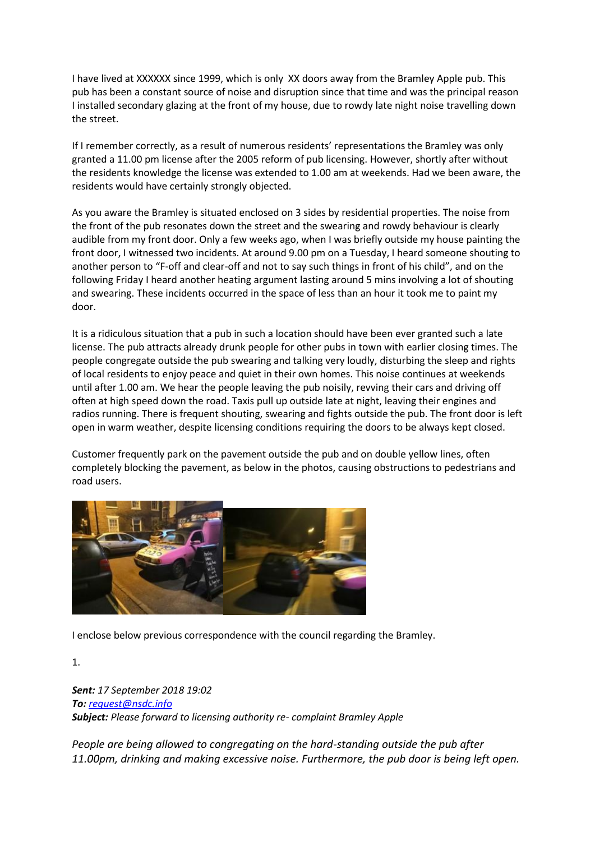I have lived at XXXXXX since 1999, which is only XX doors away from the Bramley Apple pub. This pub has been a constant source of noise and disruption since that time and was the principal reason I installed secondary glazing at the front of my house, due to rowdy late night noise travelling down the street.

If I remember correctly, as a result of numerous residents' representations the Bramley was only granted a 11.00 pm license after the 2005 reform of pub licensing. However, shortly after without the residents knowledge the license was extended to 1.00 am at weekends. Had we been aware, the residents would have certainly strongly objected.

As you aware the Bramley is situated enclosed on 3 sides by residential properties. The noise from the front of the pub resonates down the street and the swearing and rowdy behaviour is clearly audible from my front door. Only a few weeks ago, when I was briefly outside my house painting the front door, I witnessed two incidents. At around 9.00 pm on a Tuesday, I heard someone shouting to another person to "F-off and clear-off and not to say such things in front of his child", and on the following Friday I heard another heating argument lasting around 5 mins involving a lot of shouting and swearing. These incidents occurred in the space of less than an hour it took me to paint my door.

It is a ridiculous situation that a pub in such a location should have been ever granted such a late license. The pub attracts already drunk people for other pubs in town with earlier closing times. The people congregate outside the pub swearing and talking very loudly, disturbing the sleep and rights of local residents to enjoy peace and quiet in their own homes. This noise continues at weekends until after 1.00 am. We hear the people leaving the pub noisily, revving their cars and driving off often at high speed down the road. Taxis pull up outside late at night, leaving their engines and radios running. There is frequent shouting, swearing and fights outside the pub. The front door is left open in warm weather, despite licensing conditions requiring the doors to be always kept closed.

Customer frequently park on the pavement outside the pub and on double yellow lines, often completely blocking the pavement, as below in the photos, causing obstructions to pedestrians and road users.



I enclose below previous correspondence with the council regarding the Bramley.

1.

*Sent: 17 September 2018 19:02 To: [request@nsdc.info](mailto:request@nsdc.info) Subject: Please forward to licensing authority re- complaint Bramley Apple* 

*People are being allowed to congregating on the hard-standing outside the pub after 11.00pm, drinking and making excessive noise. Furthermore, the pub door is being left open.*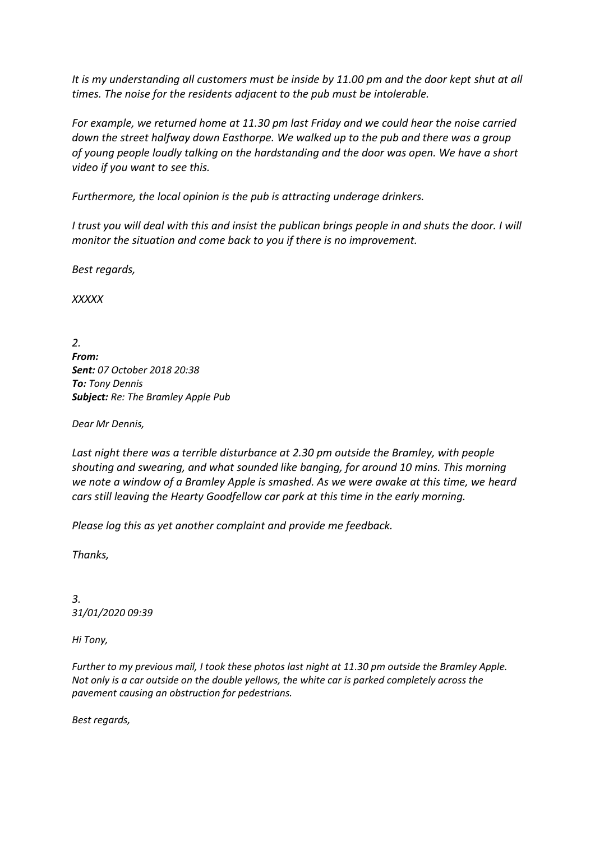*It is my understanding all customers must be inside by 11.00 pm and the door kept shut at all times. The noise for the residents adjacent to the pub must be intolerable.*

*For example, we returned home at 11.30 pm last Friday and we could hear the noise carried down the street halfway down Easthorpe. We walked up to the pub and there was a group of young people loudly talking on the hardstanding and the door was open. We have a short video if you want to see this.*

*Furthermore, the local opinion is the pub is attracting underage drinkers.*

*I trust you will deal with this and insist the publican brings people in and shuts the door. I will monitor the situation and come back to you if there is no improvement.*

*Best regards,*

*XXXXX*

*2. From: Sent: 07 October 2018 20:38 To: Tony Dennis Subject: Re: The Bramley Apple Pub*

*Dear Mr Dennis,*

*Last night there was a terrible disturbance at 2.30 pm outside the Bramley, with people shouting and swearing, and what sounded like banging, for around 10 mins. This morning we note a window of a Bramley Apple is smashed. As we were awake at this time, we heard cars still leaving the Hearty Goodfellow car park at this time in the early morning.*

*Please log this as yet another complaint and provide me feedback.*

*Thanks,*

*3. 31/01/2020 09:39*

*Hi Tony,*

*Further to my previous mail, I took these photos last night at 11.30 pm outside the Bramley Apple. Not only is a car outside on the double yellows, the white car is parked completely across the pavement causing an obstruction for pedestrians.*

*Best regards,*